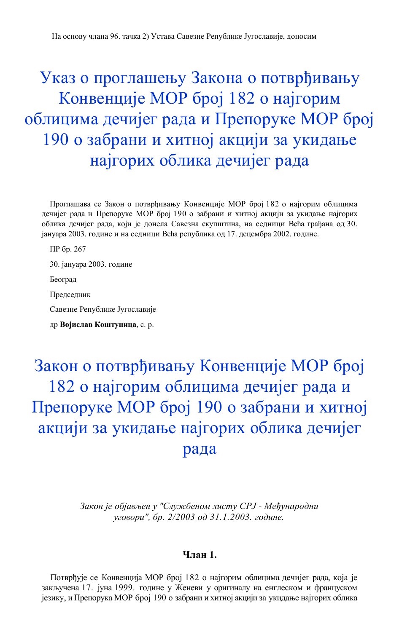# Указ о проглашењу Закона о потврђивању Конвенције МОР број 182 о најгорим облицима дечијег рада и Препоруке МОР број 190 о забрани и хитној акцији за укидање најгорих облика дечијег рада

Проглашава се Закон о потврђивању Конвенције МОР број 182 о најгорим облицима дечијег рада и Препоруке МОР број 190 о забрани и хитној акцији за укидање најгорих облика дечијег рада, који је донела Савезна скупштина, на седници Већа грађана од 30. јануара 2003. године и на седници Већа република од 17. децембра 2002. године.

ПР бр. 267

30. јануара 2003. године

Београд

Председник

Савезне Републике Југославије

др **Војислав Коштуница**, с. р.

# Закон о потврђивању Конвенције МОР број 182 о најгорим облицима дечијег рада и Препоруке МОР број 190 о забрани и хитној акцији за укидање најгорих облика дечијег рада

*Закон је објављен у "Службеном листу СРЈ - Међународни уговори", бр. 2/2003 од 31.1.2003. године.*

# **Члан 1.**

Потврђује се Конвенција МОР број 182 о најгорим облицима дечијег рада, која је закључена 17. јуна 1999. године у Женеви у оригиналу на енглеском и француском језику, и Препорука МОР број 190 о забрани и хитној акцији за укидање најгорих облика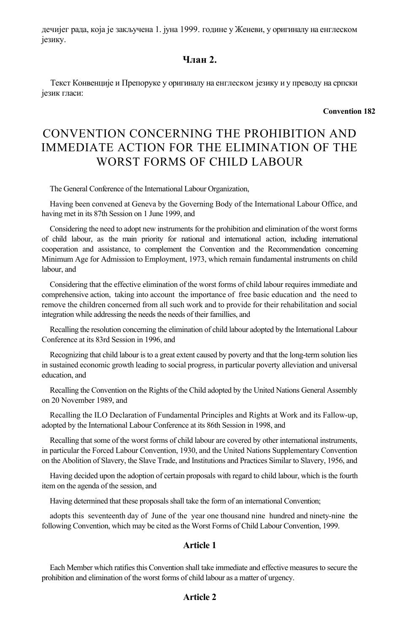дечијег рада, која је закључена 1. јуна 1999. године у Женеви, у оригиналу на енглеском језику.

# **Члан 2.**

Текст Конвенције и Препоруке у оригиналу на енглеском језику и у преводу на српски језик гласи:

**Convention 182**

# CONVENTION CONCERNING THE PROHIBITION AND IMMEDIATE ACTION FOR THE ELIMINATION OF THE WORST FORMS OF CHILD LABOUR

The General Conference of the International Labour Organization,

Having been convened at Geneva by the Governing Body of the International Labour Office, and having met in its 87th Session on 1 June 1999, and

Considering the need to adopt new instruments for the prohibition and elimination of the worst forms of child labour, as the main priority for national and international action, including international cooperation and assistance, to complement the Convention and the Recommendation concerning Minimum Age for Admission to Employment, 1973, which remain fundamental instruments on child labour, and

Considering that the effective elimination of the worst forms of child labour requires immediate and comprehensive action, taking into account the importance of free basic education and the need to remove the children concerned from all such work and to provide for their rehabilitation and social integration while addressing the needs the needs of their famillies, and

Recalling the resolution concerning the elimination of child labour adopted by the International Labour Conference at its 83rd Session in 1996, and

Recognizing that child labour is to a great extent caused by poverty and that the long-term solution lies in sustained economic growth leading to social progress, in particular poverty alleviation and universal education, and

Recalling the Convention on the Rights of the Child adopted by the United Nations General Assembly on 20 November 1989, and

Recalling the ILO Declaration of Fundamental Principles and Rights at Work and its Fallow-up, adopted by the International Labour Conference at its 86th Session in 1998, and

Recalling that some of the worst forms of child labour are covered by other international instruments, in particular the Forced Labour Convention, 1930, and the United Nations Supplementary Convention on the Abolition of Slavery, the Slave Trade, and Institutions and Practices Similar to Slavery, 1956, and

Having decided upon the adoption of certain proposals with regard to child labour, which is the fourth item on the agenda of the session, and

Having determined that these proposals shall take the form of an international Convention;

adopts this seventeenth day of June of the year one thousand nine hundred and ninety-nine the following Convention, which may be cited as the Worst Forms of Child Labour Convention, 1999.

# **Article 1**

Each Member which ratifies this Convention shall take immediate and effective measures to secure the prohibition and elimination of the worst forms of child labour as a matter of urgency.

# **Article 2**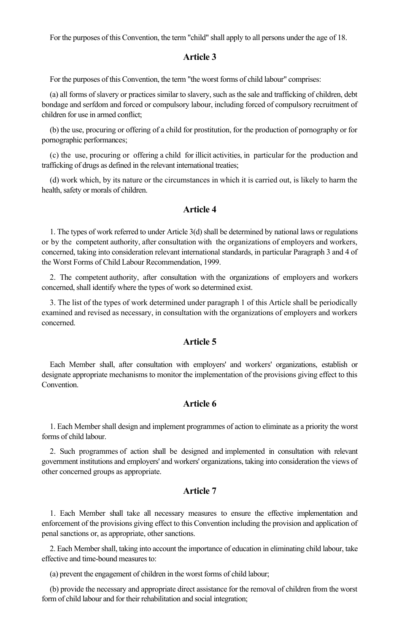For the purposes of this Convention, the term "child" shall apply to all persons under the age of 18.

#### **Article 3**

For the purposes of this Convention, the term "the worst forms of child labour" comprises:

(a) all forms of slavery or practices similar to slavery, such as the sale and trafficking of children, debt bondage and serfdom and forced or compulsory labour, including forced of compulsory recruitment of children for use in armed conflict;

(b) the use, procuring or offering of a child for prostitution, for the production of pornography or for pornographic performances;

(c) the use, procuring or offering a child for illicit activities, in particular for the production and trafficking of drugs as defined in the relevant international treaties;

(d) work which, by its nature or the circumstances in which it is carried out, is likely to harm the health, safety or morals of children.

### **Article 4**

1. The types of work referred to under Article 3(d) shall be determined by national laws or regulations or by the competent authority, after consultation with the organizations of employers and workers, concerned, taking into consideration relevant international standards, in particular Paragraph 3 and 4 of the Worst Forms of Child Labour Recommendation, 1999.

2. The competent authority, after consultation with the organizations of employers and workers concerned, shall identify where the types of work so determined exist.

3. The list of the types of work determined under paragraph 1 of this Article shall be periodically examined and revised as necessary, in consultation with the organizations of employers and workers concerned.

#### **Article 5**

Each Member shall, after consultation with employers' and workers' organizations, establish or designate appropriate mechanisms to monitor the implementation of the provisions giving effect to this **Convention** 

# **Article 6**

1. Each Member shall design and implement programmes of action to eliminate as a priority the worst forms of child labour.

2. Such programmes of action shall be designed and implemented in consultation with relevant government institutions and employers' and workers' organizations, taking into consideration the views of other concerned groups as appropriate.

#### **Article 7**

1. Each Member shall take all necessary measures to ensure the effective implementation and enforcement of the provisions giving effect to this Convention including the provision and application of penal sanctions or, as appropriate, other sanctions.

2. Each Member shall, taking into account the importance of education in eliminating child labour, take effective and time-bound measures to:

(a) prevent the engagement of children in the worst forms of child labour;

(b) provide the necessary and appropriate direct assistance for the removal of children from the worst form of child labour and for their rehabilitation and social integration;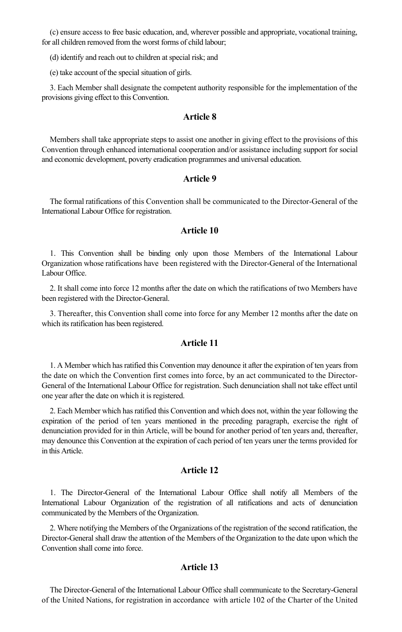(c) ensure access to free basic education, and, wherever possible and appropriate, vocational training, for all children removed from the worst forms of child labour;

(d) identify and reach out to children at special risk; and

(e) take account of the special situation of girls.

3. Each Member shall designate the competent authority responsible for the implementation of the provisions giving effect to this Convention.

#### **Article 8**

Members shall take appropriate steps to assist one another in giving effect to the provisions of this Convention through enhanced international cooperation and/or assistance including support for social and economic development, poverty eradication programmes and universal education.

#### **Article 9**

The formal ratifications of this Convention shall be communicated to the Director-General of the International Labour Office for registration.

#### **Article 10**

1. This Convention shall be binding only upon those Members of the International Labour Organization whose ratifications have been registered with the Director-General of the International Labour Office.

2. It shall come into force 12 months after the date on which the ratifications of two Members have been registered with the Director-General.

3. Thereafter, this Convention shall come into force for any Member 12 months after the date on which its ratification has been registered.

## **Article 11**

1. A Member which has ratified this Convention may denounce it after the expiration of ten years from the date on which the Convention first comes into force, by an act communicated to the Director-General of the International Labour Office for registration. Such denunciation shall not take effect until one year after the date on which it is registered.

2. Each Member which has ratified this Convention and which does not, within the year following the expiration of the period of ten years mentioned in the preceding paragraph, exercise the right of denunciation provided for in thin Article, will be bound for another period of ten years and, thereafter, may denounce this Convention at the expiration of cach period of ten years uner the terms provided for in this Article.

### **Article 12**

1. The Director-General of the International Labour Office shall notify all Members of the International Labour Organization of the registration of all ratifications and acts of denunciation communicated by the Members of the Organization.

2. Where notifying the Members of the Organizations of the registration of the second ratification, the Director-General shall draw the attention of the Members of the Organization to the date upon which the Convention shall come into force.

### **Article 13**

The Director-General of the International Labour Office shall communicate to the Secretary-General of the United Nations, for registration in accordance with article 102 of the Charter of the United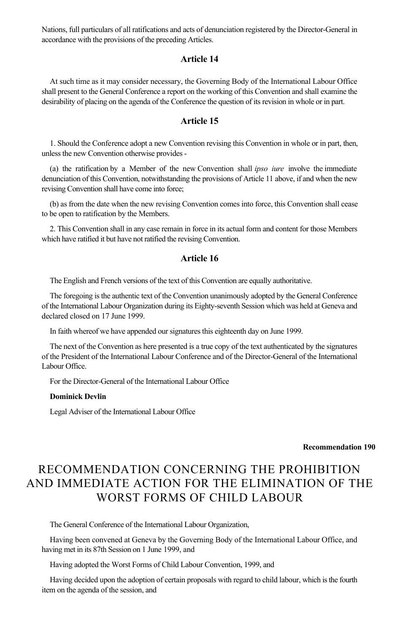Nations, full particulars of all ratifications and acts of denunciation registered by the Director-General in accordance with the provisions of the preceding Articles.

# **Article 14**

At such time as it may consider necessary, the Governing Body of the International Labour Office shall present to the General Conference a report on the working of this Convention and shall examine the desirability of placing on the agenda of the Conference the question of its revision in whole or in part.

# **Article 15**

1. Should the Conference adopt a new Convention revising this Convention in whole or in part, then, unless the new Convention otherwise provides -

(a) the ratification by a Member of the new Convention shall *ipso iure* involve the immediate denunciation of this Convention, notwithstanding the provisions of Article 11 above, if and when the new revising Convention shall have come into force;

(b) as from the date when the new revising Convention comes into force, this Convention shall cease to be open to ratification by the Members.

2. This Convention shall in any case remain in force in its actual form and content for those Members which have ratified it but have not ratified the revising Convention.

# **Article 16**

The English and French versions of the text of this Convention are equally authoritative.

The foregoing is the authentic text of the Convention unanimously adopted by the General Conference of the International Labour Organization during its Eighty-seventh Session which was held at Geneva and declared closed on 17 June 1999.

In faith whereof we have appended our signatures this eighteenth day on June 1999.

The next of the Convention as here presented is a true copy of the text authenticated by the signatures of the President of the International Labour Conference and of the Director-General of the International Labour Office.

For the Director-General of the International Labour Office

#### **Dominick Devlin**

Legal Adviser of the International Labour Office

#### **Recommendation 190**

# RECOMMENDATION CONCERNING THE PROHIBITION AND IMMEDIATE ACTION FOR THE ELIMINATION OF THE WORST FORMS OF CHILD LABOUR

The General Conference of the International Labour Organization,

Having been convened at Geneva by the Governing Body of the International Labour Office, and having met in its 87th Session on 1 June 1999, and

Having adopted the Worst Forms of Child Labour Convention, 1999, and

Having decided upon the adoption of certain proposals with regard to child labour, which is the fourth item on the agenda of the session, and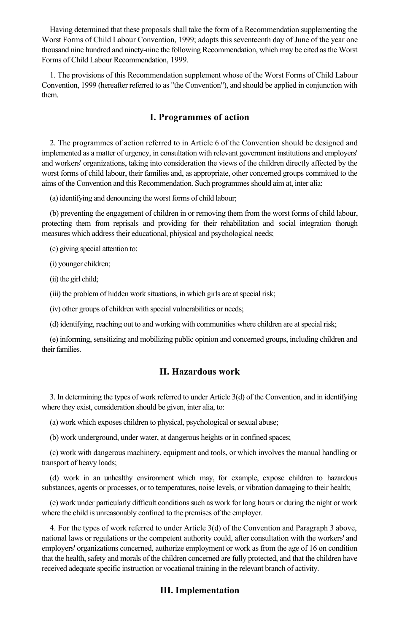Having determined that these proposals shall take the form of a Recommendation supplementing the Worst Forms of Child Labour Convention, 1999; adopts this seventeenth day of June of the year one thousand nine hundred and ninety-nine the following Recommendation, which may be cited as the Worst Forms of Child Labour Recommendation, 1999.

1. The provisions of this Recommendation supplement whose of the Worst Forms of Child Labour Convention, 1999 (hereafter referred to as "the Convention"), and should be applied in conjunction with them.

# **I. Programmes of action**

2. The programmes of action referred to in Article 6 of the Convention should be designed and implemented as a matter of urgency, in consultation with relevant government institutions and employers' and workers' organizations, taking into consideration the views of the children directly affected by the worst forms of child labour, their families and, as appropriate, other concerned groups committed to the aims of the Convention and this Recommendation. Such programmes should aim at, inter alia:

(a) identifying and denouncing the worst forms of child labour;

(b) preventing the engagement of children in or removing them from the worst forms of child labour, protecting them from reprisals and providing for their rehabilitation and social integration thorugh measures which address their educational, phiysical and psychological needs;

(c) giving special attention to:

(i) younger children;

(ii) the girl child;

(iii) the problem of hidden work situations, in which girls are at special risk;

(iv) other groups of children with special vulnerabilities or needs;

(d) identifying, reaching out to and working with communities where children are at special risk;

(e) informing, sensitizing and mobilizing public opinion and concerned groups, including children and their families.

# **II. Hazardous work**

3. In determining the types of work referred to under Article 3(d) of the Convention, and in identifying where they exist, consideration should be given, inter alia, to:

(a) work which exposes children to physical, psychological or sexual abuse;

(b) work underground, under water, at dangerous heights or in confined spaces;

(c) work with dangerous machinery, equipment and tools, or which involves the manual handling or transport of heavy loads;

(d) work in an unhealthy environment which may, for example, expose children to hazardous substances, agents or processes, or to temperatures, noise levels, or vibration damaging to their health;

(e) work under particularly difficult conditions such as work for long hours or during the night or work where the child is unreasonably confined to the premises of the employer.

4. For the types of work referred to under Article 3(d) of the Convention and Paragraph 3 above, national laws or regulations or the competent authority could, after consultation with the workers' and employers' organizations concerned, authorize employment or work as from the age of 16 on condition that the health, safety and morals of the children concerned are fully protected, and that the children have received adequate specific instruction or vocational training in the relevant branch of activity.

#### **III. Implementation**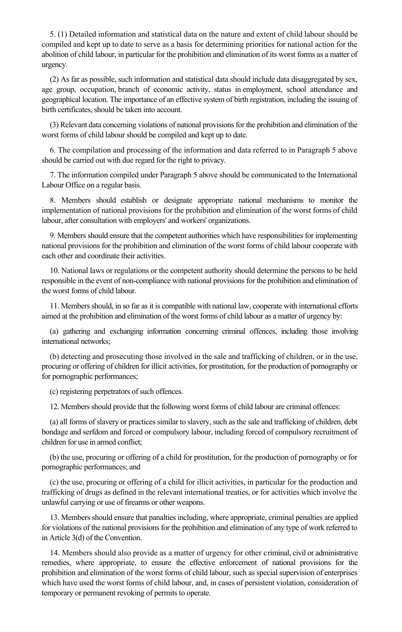5. (1) Detailed information and statistical data on the nature and extent of child labour should be compiled and kept up to date to serve as a basis for determining priorities for national action for the abolition of child labour, in particular for the prohibition and elimination of its worst forms as a matter of urgency.

(2) As far as possible, such information and statistical data should include data disaggregated by sex, age group, occupation, branch of economic activity, status in employment, school attendance and geographical location. The importance of an effective system of birth registration, including the issuing of birth certificates, should be taken into account.

(3) Relevant data concerning violations of national provisions for the prohibition and elimination of the worst forms of child labour should be compiled and kept up to date.

6. The compilation and processing of the information and data referred to in Paragraph 5 above should be carried out with due regard for the right to privacy.

7. The information compiled under Paragraph 5 above should be communicated to the International Labour Office on a regular basis.

8. Members should establish or designate appropriate national mechanisms to monitor the implementation of national provisions for the prohibition and elimination of the worst forms of child labour, after consultation with employers' and workers' organizations.

9. Members should ensure that the competent authorities which have responsibilities for implementing national provisions for the prohibition and elimination of the worst forms of child labour cooperate with each other and coordinate their activities.

10. National laws or regulations or the competent authority should determine the persons to be held responsible in the event of non-compliance with national provisions for the prohibition and elimination of the worst forms of child labour.

11. Members should, in so far as it is compatible with national law, cooperate with international efforts aimed at the prohibition and elimination of the worst forms of child labour as a matter of urgency by:

(a) gathering and exchanging information concerning criminal offences, including those involving international networks;

(b) detecting and prosecuting those involved in the sale and trafficking of children, or in the use, procuring or offering of children for illicit activities, for prostitution, for the production of pornography or for pornographic performances;

(c) registering perpetrators of such offences.

12. Members should provide that the following worst forms of child labour are criminal offences:

(a) all forms of slavery or practices similar to slavery, such as the sale and trafficking of children, debt bondage and serfdom and forced or compulsory labour, including forced of compulsory recruitment of children for use in armed conflict;

(b) the use, procuring or offering of a child for prostitution, for the production of pornography or for pornographic performances; and

(c) the use, procuring or offering of a child for illicit activities, in particular for the production and trafficking of drugs as defined in the relevant international treaties, or for activities which involve the unlawful carrying or use of firearms or other weapons.

13. Members should ensure that panalties including, where appropriate, criminal penalties are applied for violations of the national provisions for the prohibition and elimination of any type of work referred to in Article 3(d) of the Convention.

14. Members should also provide as a matter of urgency for other criminal, civil or administrative remedies, where appropriate, to ensure the effective enforcement of national provisions for the prohibition and elimination of the worst forms of child labour, such as special supervision of enterprises which have used the worst forms of child labour, and, in cases of persistent violation, consideration of temporary or permanent revoking of permits to operate.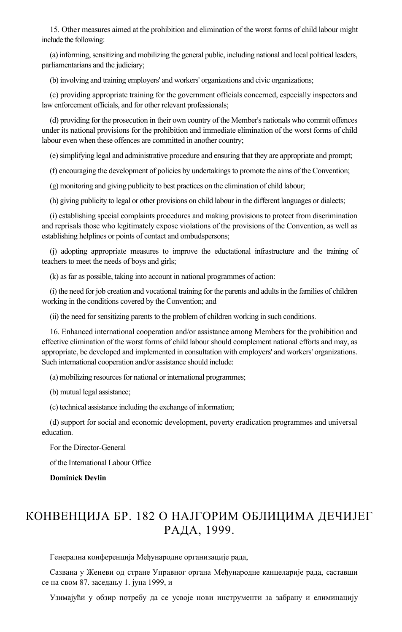15. Other measures aimed at the prohibition and elimination of the worst forms of child labour might include the following:

(a) informing, sensitizing and mobilizing the general public, including national and local political leaders, parliamentarians and the judiciary;

(b) involving and training employers' and workers' organizations and civic organizations;

(c) providing appropriate training for the government officials concerned, especially inspectors and law enforcement officials, and for other relevant professionals;

(d) providing for the prosecution in their own country of the Member's nationals who commit offences under its national provisions for the prohibition and immediate elimination of the worst forms of child labour even when these offences are committed in another country;

(e) simplifying legal and administrative procedure and ensuring that they are appropriate and prompt;

(f) encouraging the development of policies by undertakings to promote the aims of the Convention;

(g) monitoring and giving publicity to best practices on the elimination of child labour;

(h) giving publicity to legal or other provisions on child labour in the different languages or dialects;

(i) establishing special complaints procedures and making provisions to protect from discrimination and reprisals those who legitimately expose violations of the provisions of the Convention, as well as establishing helplines or points of contact and ombudspersons;

(j) adopting appropriate measures to improve the eductational infrastructure and the training of teachers to meet the needs of boys and girls;

(k) as far as possible, taking into account in national programmes of action:

(i) the need for job creation and vocational training for the parents and adults in the families of children working in the conditions covered by the Convention; and

(ii) the need for sensitizing parents to the problem of children working in such conditions.

16. Enhanced international cooperation and/or assistance among Members for the prohibition and effective elimination of the worst forms of child labour should complement national efforts and may, as appropriate, be developed and implemented in consultation with employers' and workers' organizations. Such international cooperation and/or assistance should include:

(a) mobilizing resources for national or international programmes;

(b) mutual legal assistance;

(c) technical assistance including the exchange of information;

(d) support for social and economic development, poverty eradication programmes and universal education.

For the Director-General

of the International Labour Office

**Dominick Devlin**

# КОНВЕНЦИЈА БР. 182 О НАЈГОРИМ ОБЛИЦИМА ДЕЧИЈЕГ РАДА, 1999.

Генерална конференција Међународне организације рада,

Сазвана у Женеви од стране Управног органа Међународне канцеларије рада, саставши се на свом 87. заседању 1. јуна 1999, и

Узимајући у обзир потребу да се усвоје нови инструменти за забрану и елиминацију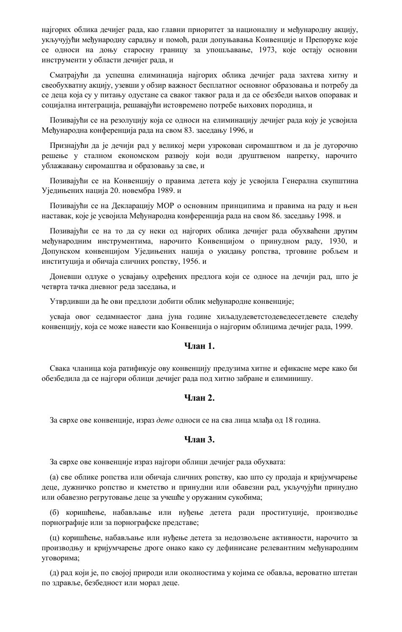најгорих облика дечијег рада, као главни приоритет за националну и међународну акцију, укључујући међународну сарадњу и помоћ, ради допуњавања Конвенције и Препоруке које се односи на доњу старосну границу за упошљавање, 1973, које остају основни инструменти у области дечијег рада, и

Сматрајући да успешна елиминација најгорих облика дечијег рада захтева хитну и свеобухватну акцију, узевши у обзир важност бесплатног основног образовања и потребу да се деца која су у питању одустане са сваког таквог рада и да се обезбеди њихов опоравак и социјална интеграција, решавајући истовремено потребе њихових породица, и

Позивајући се на резолуцију која се односи на елиминацију дечијег рада коју је усвојила Међународна конференција рада на свом 83. заседању 1996, и

Признајући да је дечији рад у великој мери узрокован сиромаштвом и да је дугорочно решење у сталном економском развоју који води друштвеном напретку, нарочито ублажавању сиромаштва и образовању за све, и

Позивајући се на Конвенцију о правима детета коју је усвојила Генерална скупштина Уједињених нација 20. новембра 1989. и

Позивајући се на Декларацију МОР о основним принципима и правима на раду и њен наставак, које је усвојила Међународна конференција рада на свом 86. заседању 1998. и

Позивајући се на то да су неки од најгорих облика дечијег рада обухваћени другим међународним инструментима, нарочито Конвенцијом о принудном раду, 1930, и Допунском конвенцијом Уједињених нација о укидању ропства, трговине робљем и институција и обичаја сличних ропству, 1956. и

Доневши одлуке о усвајању одређених предлога који се односе на дечији рад, што је четврта тачка дневног реда заседања, и

Утврдивши да ће ови предлози добити облик међународне конвенције;

усваја овог седамнаестог дана јуна године хиљадудеветстодеведесетдевете следећу конвенцију, која се може навести као Конвенција о најгорим облицима дечијег рада, 1999.

#### **Члан 1.**

Свака чланица која ратификује ову конвенцију предузима хитне и ефикасне мере како би обезбедила да се најгори облици дечијег рада под хитно забране и елиминишу.

#### **Члан 2.**

За сврхе ове конвенције, израз *дете* односи се на сва лица млађа од 18 година.

## **Члан 3.**

За сврхе ове конвенције израз најгори облици дечијег рада обухвата:

(а) све облике ропства или обичаја сличних ропству, као што су продаја и кријумчарење деце, дужничко ропство и кметство и принудни или обавезни рад, укључујући принудно или обавезно регрутовање деце за учешће у оружаним сукобима;

(б) коришћење, набављање или нуђење детета ради проституције, производње порнографије или за порнографске представе;

(ц) коришћење, набављање или нуђење детета за недозвољене активности, нарочито за производњу и кријумчарење дроге онако како су дефинисане релевантним међународним уговорима;

(д) рад који је, по својој природи или околностима у којима се обавља, вероватно штетан по здравље, безбедност или морал деце.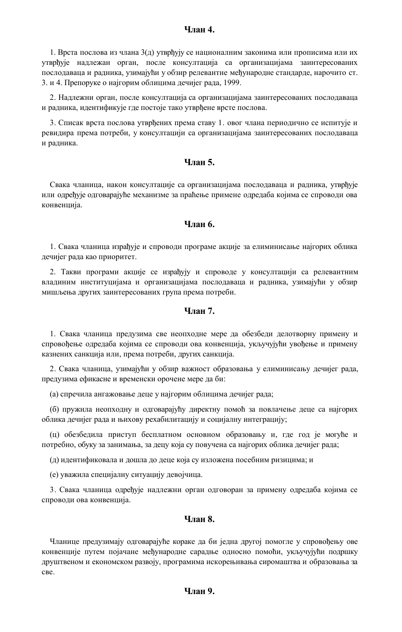#### **Члан 4.**

1. Врста послова из члана 3(д) утврђују се националним законима или прописима или их утврђује надлежан орган, после консултација са организацијама заинтересованих послодаваца и радника, узимајући у обзир релевантне међународне стандарде, нарочито ст. 3. и 4. Препоруке о најгорим облицима дечијег рада, 1999.

2. Надлежни орган, после консултација са организацијама заинтересованих послодаваца и радника, идентификује где постоје тако утврђене врсте послова.

3. Списак врста послова утврђених према ставу 1. овог члана периодично се испитује и ревидира према потреби, у консултацији са организацијама заинтересованих послодаваца и радника.

# **Члан 5.**

Свака чланица, након консултације са организацијама послодаваца и радника, утврђује или одређује одговарајуће механизме за праћење примене одредаба којима се спроводи ова конвенција.

#### **Члан 6.**

1. Свака чланица израђује и спроводи програме акције за елиминисање најгорих облика дечијег рада као приоритет.

2. Такви програми акције се израђују и спроводе у консултацији са релевантним владиним институцијама и организацијама послодаваца и радника, узимајући у обзир мишљења других заинтересованих група према потреби.

# **Члан 7.**

1. Свака чланица предузима све неопходне мере да обезбеди делотворну примену и спровођење одредаба којима се спроводи ова конвенција, укључујући увођење и примену казнених санкција или, према потреби, других санкција.

2. Свака чланица, узимајући у обзир важност образовања у елиминисању дечијег рада, предузима ефикасне и временски орочене мере да би:

(а) спречила ангажовање деце у најгорим облицима дечијег рада;

(б) пружила неопходну и одговарајућу директну помоћ за повлачење деце са најгорих облика дечијег рада и њихову рехабилитацију и социјалну интеграцију;

(ц) обезбедила приступ бесплатном основном образовању и, где год је могуће и потребно, обуку за занимања, за децу која су повучена са најгорих облика дечијег рада;

(д) идентификовала и дошла до деце која су изложена посебним ризицима; и

(е) уважила специјалну ситуацију девојчица.

3. Свака чланица одређује надлежни орган одговоран за примену одредаба којима се спроводи ова конвенција.

#### **Члан 8.**

Чланице предузимају одговарајуће кораке да би једна другој помогле у спровођењу ове конвенције путем појачане међународне сарадње односно помоћи, укључујући подршку друштвеном и економском развоју, програмима искорењивања сиромаштва и образовања за све.

#### **Члан 9.**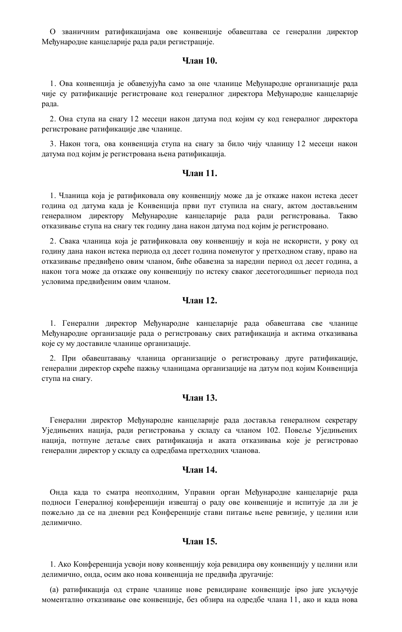О званичним ратификацијама ове конвенције обавештава се генерални директор Међународне канцеларије рада ради регистрације.

### **Члан 10.**

1. Ова конвенција је обавезујућа само за оне чланице Међународне организације рада чије су ратификације регистроване код генералног директора Међународне канцеларије рада.

2. Она ступа на снагу 12 месеци након датума под којим су код генералног директора регистроване ратификације две чланице.

3. Након тога, ова конвенција ступа на снагу за било чију чланицу 12 месеци након датума под којим је регистрована њена ратификација.

#### **Члан 11.**

1. Чланица која је ратификовала ову конвенцију може да је откаже након истека десет година од датума када је Конвенција први пут ступила на снагу, актом достављеним генералном директору Међународне канцеларије рада ради регистровања. Такво отказивање ступа на снагу тек годину дана након датума под којим је регистровано.

2. Свака чланица која је ратификовала ову конвенцију и која не искористи, у року од годину дана након истека периода од десет година поменутог у претходном ставу, право на отказивање предвиђено овим чланом, биће обавезна за наредни период од десет година, а након тога може да откаже ову конвенцију по истеку сваког десетогодишњег периода под условима предвиђеним овим чланом.

#### **Члан 12.**

1. Генерални директор Међународне канцеларије рада обавештава све чланице Међународне организације рада о регистровању свих ратификација и актима отказивања које су му доставиле чланице организације.

2. При обавештавању чланица организације о регистровању друге ратификације, генерални директор скреће пажњу чланицама организације на датум под којим Конвенција ступа на снагу.

#### **Члан 13.**

Генерални директор Међународне канцеларије рада доставља генералном секретару Уједињених нација, ради регистровања у складу са чланом 102. Повеље Уједињених нација, потпуне детаље свих ратификација и аката отказивања које је регистровао генерални директор у складу са одредбама претходних чланова.

#### **Члан 14.**

Онда када то сматра неопходним, Управни орган Међународне канцеларије рада подноси Генералној конференцији извештај о раду ове конвенције и испитује да ли је пожељно да се на дневни ред Конференције стави питање њене ревизије, у целини или делимично.

#### **Члан 15.**

1. Ако Конференција усвоји нову конвенцију која ревидира ову конвенцију у целини или делимично, онда, осим ако нова конвенција не предвиђа другачије:

(а) ратификација од стране чланице нове ревидиране конвенције ipso jure укључује моментално отказивање ове конвенције, без обзира на одредбе члана 11, ако и када нова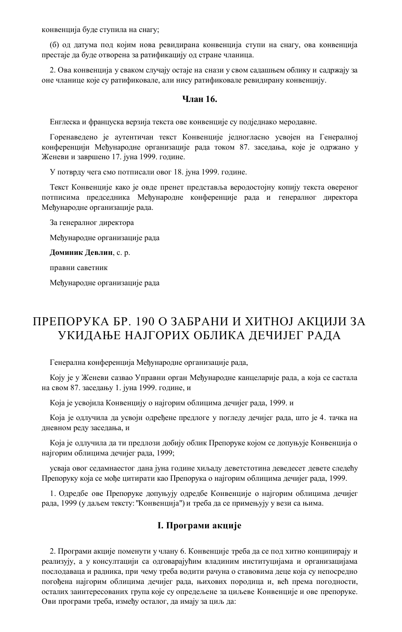конвенција буде ступила на снагу;

(б) од датума под којим нова ревидирана конвенција ступи на снагу, ова конвенција престаје да буде отворена за ратификацију од стране чланица.

2. Ова конвенција у сваком случају остаје на снази у свом садашњем облику и садржају за оне чланице које су ратификовале, али нису ратификовале ревидирану конвенцију.

### **Члан 16.**

Енглеска и француска верзија текста ове конвенције су подједнако меродавне.

Горенаведено је аутентичан текст Конвенције једногласно усвојен на Генералној конференцији Међународне организације рада током 87. заседања, које је одржано у Женеви и завршено 17. јуна 1999. године.

У потврду чега смо потписали овог 18. јуна 1999. године.

Текст Конвенције како је овде пренет представља веродостојну копију текста овереног потписима председника Међународне конференције рада и генералног директора Међународне организације рада.

За генералног директора

Међународне организације рада

**Доминик Девлин**, с. р.

правни саветник

Међународне организације рада

# ПРЕПОРУКА БР. 190 О ЗАБРАНИ И ХИТНОЈ АКЦИЈИ ЗА УКИДАЊЕ НАЈГОРИХ ОБЛИКА ДЕЧИЈЕГ РАДА

Генерална конференција Међународне организације рада,

Коју је у Женеви сазвао Управни орган Међународне канцеларије рада, а која се састала на свом 87. заседању 1. јуна 1999. године, и

Која је усвојила Конвенцију о најгорим облицима дечијег рада, 1999. и

Која је одлучила да усвоји одређене предлоге у погледу дечијег рада, што је 4. тачка на дневном реду заседања, и

Која је одлучила да ти предлози добију облик Препоруке којом се допуњује Конвенција о најгорим облицима дечијег рада, 1999;

усваја овог седамнаестог дана јуна године хиљаду деветстотина деведесет девете следећу Препоруку која се мође цитирати као Препорука о најгорим облицима дечијег рада, 1999.

1. Одредбе ове Препоруке допуњују одредбе Конвенције о најгорим облицима дечијег рада, 1999 (у даљем тексту: "Конвенција") и треба да се примењују у вези са њима.

# **I. Програми акције**

2. Програми акције поменути у члану 6. Конвенције треба да се под хитно конципирају и реализују, а у консултацији са одговарајућим владиним институцијама и организацијама послодаваца и радника, при чему треба водити рачуна о ставовима деце која су непосредно погођена најгорим облицима дечијег рада, њихових породица и, већ према погодности, осталих заинтересованих група које су опредељене за циљеве Конвенције и ове препоруке. Ови програми треба, између осталог, да имају за циљ да: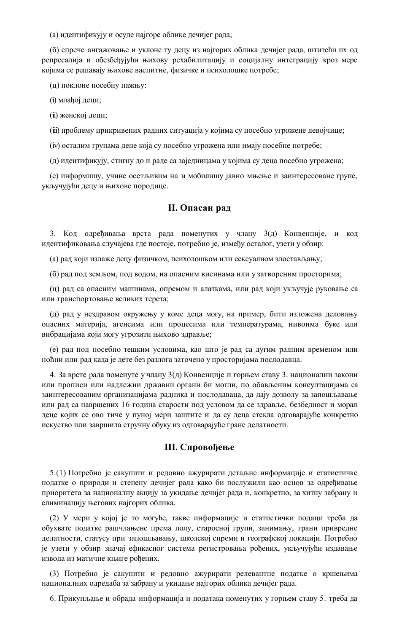(а) идентификују и осуде најгоре облике дечијег рада;

(б) спрече ангажовање и уклоне ту децу из најгорих облика дечијег рада, штитећи их од репресалија и обезбеђујући њихову рехабилитацију и социјалну интеграцију кроз мере којима се решавају њихове васпитне, физичке и психолошке потребе;

(ц) поклоне посебну пажњу:

(i) млађој деци;

(ii) женској деци;

(iii) проблему прикривених радних ситуација у којима су посебно угрожене девојчице;

(iv) осталим групама деце која су посебно угрожена или имају посебне потребе;

(д) идентификују, стигну до и раде са заједницама у којима су деца посебно угрожена;

(е) информишу, учине осетљивим на и мобилишу јавно мњење и заинтересоване групе, укључујући децу и њихове породице.

### **II. Опасан рад**

3. Код одређивања врста рада поменутих у члану 3(д) Конвенције, и код идентификовања случајева где постоје, потребно је, између осталог, узети у обзир:

(а) рад који излаже децу физичком, психолошком или сексуалном злостављању;

(б) рад под земљом, под водом, на опасним висинама или у затвореним просторима;

(ц) рад са опасним машинама, опремом и алаткама, или рад који укључује руковање са или транспортовање великих терета;

(д) рад у нездравом окружењу у коме деца могу, на пример, бити изложена деловању опасних материја, агенсима или процесима или температурама, нивоима буке или вибрацијама који могу угрозити њихово здравље;

(е) рад под посебно тешким условима, као што је рад са дугим радним временом или ноћни или рад када је дете без разлога заточено у просторијама послодавца.

4. За врсте рада поменуте у члану 3(д) Конвенције и горњем ставу 3. национални закони или прописи или надлежни државни органи би могли, по обављеним консултацијама са заинтересованим организацијама радника и послодаваца, да дају дозволу за запошљавање или рад са навршених 16 година старости под условом да се здравље, безбедност и морал деце којих се ово тиче у пуној мери заштите и да су деца стекла одговарајуће конкретно искуство или завршила стручну обуку из одговарајуће гране делатности.

# **III. Спровођење**

5.(1) Потребно је сакупити и редовно ажурирати детаљне информације и статистичке податке о природи и степену дечијег рада како би послужили као основ за одређивање приоритета за националну акцију за укидање дечијег рада и, конкретно, за хитну забрану и елиминацију његових најгорих облика.

(2) У мери у којој је то могуће, такве информације и статистички подаци треба да обухвате податке рашчлањене према полу, старосној групи, занимању, грани привредне делатности, статусу при запошљавању, школској спреми и географској локацији. Потребно је узети у обзир значај ефикасног система регистровања рођених, укључујући издавање извода из матичне књиге рођених.

(3) Потребно је сакупити и редовно ажурирати релевантне податке о кршењима националних одредаба за забрану и укидање најгорих облика дечијег рада.

6. Прикупљање и обрада информација и података поменутих у горњем ставу 5. треба да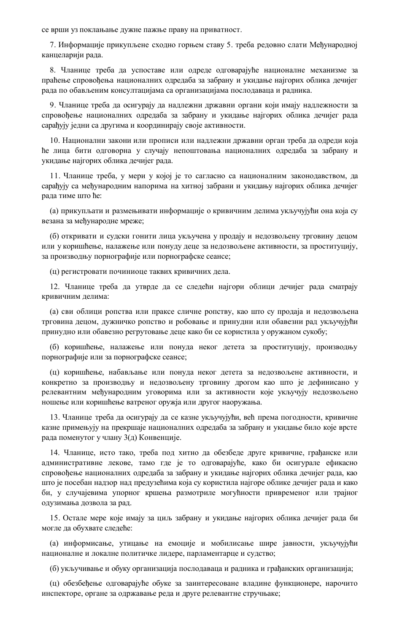се врши уз поклањање дужне пажње праву на приватност.

7. Информације прикупљене сходно горњем ставу 5. треба редовно слати Међународној канцеларији рада.

8. Чланице треба да успоставе или одреде одговарајуће националне механизме за праћење спровођења националних одредаба за забрану и укидање најгорих облика дечијег рада по обављеним консултацијама са организацијама послодаваца и радника.

9. Чланице треба да осигурају да надлежни државни органи који имају надлежности за спровођење националних одредаба за забрану и укидање најгорих облика дечијег рада сарађују једни са другима и координирају своје активности.

10. Национални закони или прописи или надлежни државни орган треба да одреди која ће лица бити одговорна у случају непоштовања националних одредаба за забрану и укидање најгорих облика дечијег рада.

11. Чланице треба, у мери у којој је то сагласно са националним законодавством, да сарађују са међународним напорима на хитној забрани и укидању најгорих облика дечијег рада тиме што ће:

(а) прикупљати и размењивати информације о кривичним делима укључујући она која су везана за међународне мреже;

(б) откривати и судски гонити лица укључена у продају и недозвољену трговину децом или у коришћење, налажење или понуду деце за недозвољене активности, за проституцију, за производњу порнографије или порнографске сеансе;

(ц) регистровати починиоце таквих кривичних дела.

12. Чланице треба да утврде да се следећи најгори облици дечијег рада сматрају кривичним делима:

(а) сви облици ропства или праксе сличне ропству, као што су продаја и недозвољена трговина децом, дужничко ропство и робовање и принудни или обавезни рад укључујући принудно или обавезно регрутовање деце како би се користила у оружаном сукобу;

(б) коришћење, налажење или понуда неког детета за проституцију, производњу порнографије или за порнографске сеансе;

(ц) коришћење, набављање или понуда неког детета за недозвољене активности, и конкретно за производњу и недозвољену трговину дрогом као што је дефинисано у релевантним међународним уговорима или за активности које укључују недозвољено ношење или коришћење ватреног оружја или другог наоружања.

13. Чланице треба да осигурају да се казне укључујући, већ према погодности, кривичне казне примењују на прекршаје националних одредаба за забрану и укидање било које врсте рада поменутог у члану 3(д) Конвенције.

14. Чланице, исто тако, треба под хитно да обезбеде друге кривичне, грађанске или административне лекове, тамо где је то одговарајуће, како би осигурале ефикасно спровођење националних одредаба за забрану и укидање најгорих облика дечијег рада, као што је посебан надзор над предузећима која су користила најгоре облике дечијег рада и како би, у случајевима упорног кршења размотриле могућности привременог или трајног одузимања дозвола за рад.

15. Остале мере које имају за циљ забрану и укидање најгорих облика дечијег рада би могле да обухвате следеће:

(а) информисање, утицање на емоције и мобилисање шире јавности, укључујући националне и локалне политичке лидере, парламентарце и судство;

(б) укључивање и обуку организација послодаваца и радника и грађанских организација;

(ц) обезбеђење одговарајуће обуке за заинтересоване владине функционере, нарочито инспекторе, органе за одржавање реда и друге релевантне стручњаке;